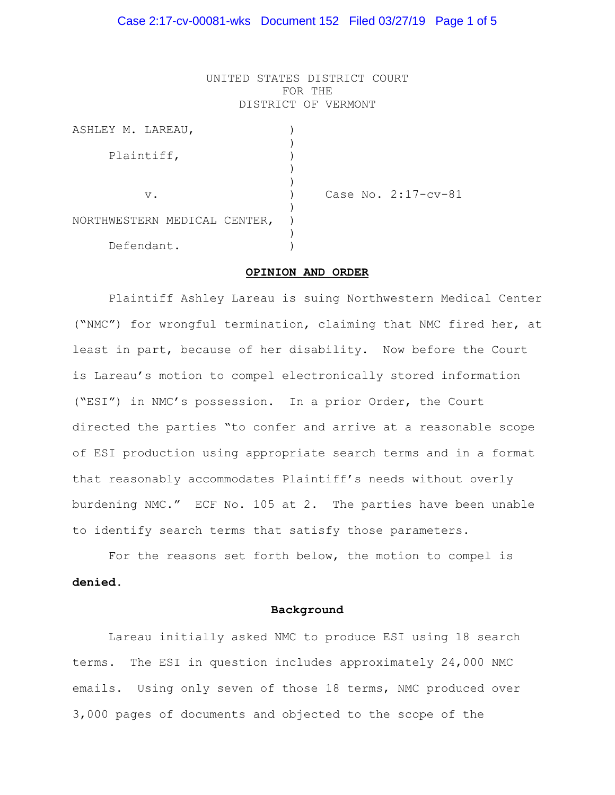### Case 2:17-cv-00081-wks Document 152 Filed 03/27/19 Page 1 of 5

UNITED STATES DISTRICT COURT FOR THE DISTRICT OF VERMONT

| ASHLEY M. LAREAU,            |  |                     |
|------------------------------|--|---------------------|
| Plaintiff,                   |  |                     |
|                              |  |                     |
| $V$ .                        |  | Case No. 2:17-cv-81 |
| NORTHWESTERN MEDICAL CENTER, |  |                     |
| Defendant.                   |  |                     |

#### **OPINION AND ORDER**

Plaintiff Ashley Lareau is suing Northwestern Medical Center ("NMC") for wrongful termination, claiming that NMC fired her, at least in part, because of her disability. Now before the Court is Lareau's motion to compel electronically stored information ("ESI") in NMC's possession. In a prior Order, the Court directed the parties "to confer and arrive at a reasonable scope of ESI production using appropriate search terms and in a format that reasonably accommodates Plaintiff's needs without overly burdening NMC." ECF No. 105 at 2. The parties have been unable to identify search terms that satisfy those parameters.

For the reasons set forth below, the motion to compel is **denied**.

#### **Background**

Lareau initially asked NMC to produce ESI using 18 search terms. The ESI in question includes approximately 24,000 NMC emails. Using only seven of those 18 terms, NMC produced over 3,000 pages of documents and objected to the scope of the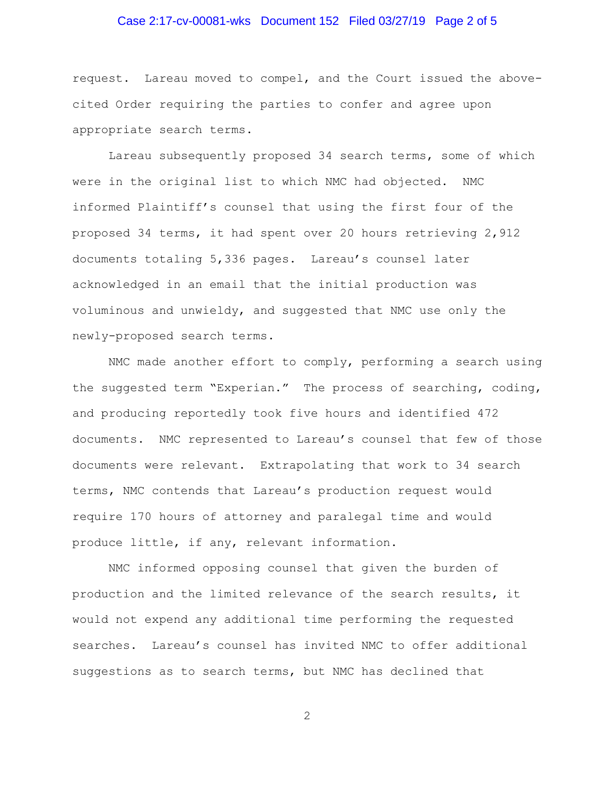# Case 2:17-cv-00081-wks Document 152 Filed 03/27/19 Page 2 of 5

request. Lareau moved to compel, and the Court issued the abovecited Order requiring the parties to confer and agree upon appropriate search terms.

Lareau subsequently proposed 34 search terms, some of which were in the original list to which NMC had objected. NMC informed Plaintiff's counsel that using the first four of the proposed 34 terms, it had spent over 20 hours retrieving 2,912 documents totaling 5,336 pages. Lareau's counsel later acknowledged in an email that the initial production was voluminous and unwieldy, and suggested that NMC use only the newly-proposed search terms.

NMC made another effort to comply, performing a search using the suggested term "Experian." The process of searching, coding, and producing reportedly took five hours and identified 472 documents. NMC represented to Lareau's counsel that few of those documents were relevant. Extrapolating that work to 34 search terms, NMC contends that Lareau's production request would require 170 hours of attorney and paralegal time and would produce little, if any, relevant information.

NMC informed opposing counsel that given the burden of production and the limited relevance of the search results, it would not expend any additional time performing the requested searches. Lareau's counsel has invited NMC to offer additional suggestions as to search terms, but NMC has declined that

2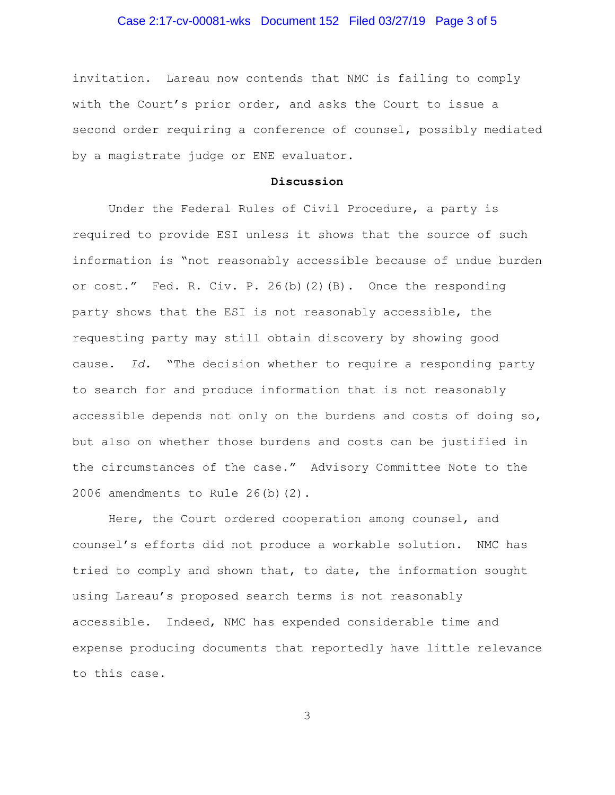# Case 2:17-cv-00081-wks Document 152 Filed 03/27/19 Page 3 of 5

invitation. Lareau now contends that NMC is failing to comply with the Court's prior order, and asks the Court to issue a second order requiring a conference of counsel, possibly mediated by a magistrate judge or ENE evaluator.

### **Discussion**

Under the Federal Rules of Civil Procedure, a party is required to provide ESI unless it shows that the source of such information is "not reasonably accessible because of undue burden or cost." Fed. R. Civ. P. 26(b)(2)(B). Once the responding party shows that the ESI is not reasonably accessible, the requesting party may still obtain discovery by showing good cause. *Id.* "The decision whether to require a responding party to search for and produce information that is not reasonably accessible depends not only on the burdens and costs of doing so, but also on whether those burdens and costs can be justified in the circumstances of the case." Advisory Committee Note to the 2006 amendments to Rule 26(b)(2).

Here, the Court ordered cooperation among counsel, and counsel's efforts did not produce a workable solution. NMC has tried to comply and shown that, to date, the information sought using Lareau's proposed search terms is not reasonably accessible. Indeed, NMC has expended considerable time and expense producing documents that reportedly have little relevance to this case.

3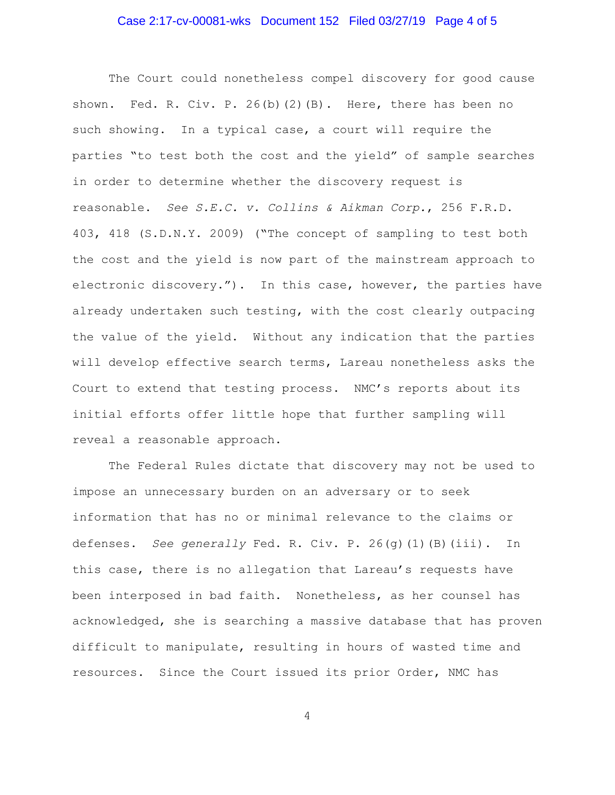# Case 2:17-cv-00081-wks Document 152 Filed 03/27/19 Page 4 of 5

The Court could nonetheless compel discovery for good cause shown. Fed. R. Civ. P. 26(b)(2)(B). Here, there has been no such showing. In a typical case, a court will require the parties "to test both the cost and the yield" of sample searches in order to determine whether the discovery request is reasonable. *See S.E.C. v. Collins & Aikman Corp.*, 256 F.R.D. 403, 418 (S.D.N.Y. 2009) ("The concept of sampling to test both the cost and the yield is now part of the mainstream approach to electronic discovery."). In this case, however, the parties have already undertaken such testing, with the cost clearly outpacing the value of the yield. Without any indication that the parties will develop effective search terms, Lareau nonetheless asks the Court to extend that testing process. NMC's reports about its initial efforts offer little hope that further sampling will reveal a reasonable approach.

The Federal Rules dictate that discovery may not be used to impose an unnecessary burden on an adversary or to seek information that has no or minimal relevance to the claims or defenses. *See generally* Fed. R. Civ. P. 26(g)(1)(B)(iii). In this case, there is no allegation that Lareau's requests have been interposed in bad faith. Nonetheless, as her counsel has acknowledged, she is searching a massive database that has proven difficult to manipulate, resulting in hours of wasted time and resources. Since the Court issued its prior Order, NMC has

4